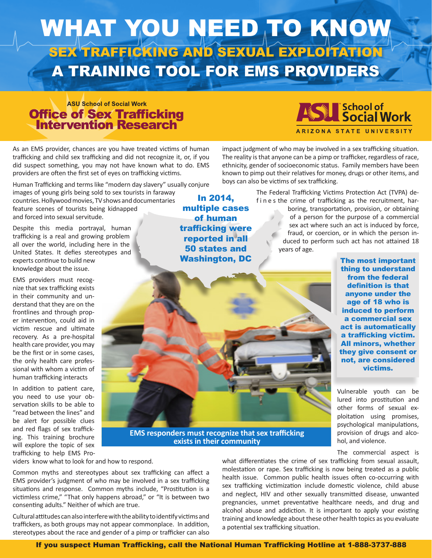

### **ASU School of Social Work Office of Sex Trafficking<br>Intervention Research**

As an EMS provider, chances are you have treated victims of human trafficking and child sex trafficking and did not recognize it, or, if you did suspect something, you may not have known what to do. EMS providers are often the first set of eyes on trafficking victims.

Human Trafficking and terms like "modern day slavery" usually conjure

images of young girls being sold to sex tourists in faraway countries. Hollywood movies, TV shows and documentaries feature scenes of tourists being kidnapped and forced into sexual servitude.

Despite this media portrayal, human trafficking is a real and growing problem all over the world, including here in the United States. It defies stereotypes and experts continue to build new knowledge about the issue.

EMS providers must recognize that sex trafficking exists in their community and understand that they are on the frontlines and through proper intervention, could aid in victim rescue and ultimate recovery. As a pre-hospital health care provider, you may be the first or in some cases, the only health care professional with whom a victim of human trafficking interacts

In addition to patient care, you need to use your observation skills to be able to "read between the lines" and be alert for possible clues and red flags of sex trafficking. This training brochure will explore the topic of sex trafficking to help EMS Pro-

In 2014, multiple cases of human trafficking were reported in all 50 states and Washington, DC



impact judgment of who may be involved in a sex trafficking situation. The reality is that anyone can be a pimp or trafficker, regardless of race, ethnicity, gender of socioeconomic status. Family members have been known to pimp out their relatives for money, drugs or other items, and boys can also be victims of sex trafficking.

> The Federal Trafficking Victims Protection Act (TVPA) def in e s the crime of trafficking as the recruitment, harboring, transportation, provision, or obtaining of a person for the purpose of a commercial sex act where such an act is induced by force, fraud, or coercion, or in which the person induced to perform such act has not attained 18 years of age.

> > The most important thing to understand from the federal definition is that anyone under the age of 18 who is induced to perform a commercial sex act is automatically a trafficking victim. All minors, whether they give consent or not, are considered victims.

Vulnerable youth can be lured into prostitution and other forms of sexual exploitation using promises, psychological manipulations, provision of drugs and alcohol, and violence.

The commercial aspect is

**EMS responders must recognize that sex trafficking exists in their community**

viders know what to look for and how to respond.

Common myths and stereotypes about sex trafficking can affect a EMS provider's judgment of who may be involved in a sex trafficking situations and response. Common myths include, "Prostitution is a victimless crime," "That only happens abroad," or "It is between two consenting adults." Neither of which are true.

Cultural attitudes can also interfere with the ability to identify victims and traffickers, as both groups may not appear commonplace. In addition, stereotypes about the race and gender of a pimp or trafficker can also

what differentiates the crime of sex trafficking from sexual assault, molestation or rape. Sex trafficking is now being treated as a public health issue. Common public health issues often co-occurring with sex trafficking victimization include domestic violence, child abuse and neglect, HIV and other sexually transmitted disease, unwanted pregnancies, unmet preventative healthcare needs, and drug and alcohol abuse and addiction. It is important to apply your existing training and knowledge about these other health topics as you evaluate a potential sex trafficking situation.

If you suspect Human Trafficking, call the National Human Trafficking Hotline at 1-888-3737-888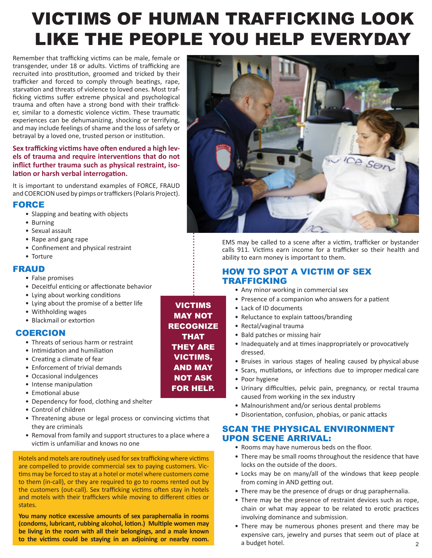## VICTIMS OF HUMAN TRAFFICKING LOOK LIKE THE PEOPLE YOU HELP EVERYDAY

Remember that trafficking victims can be male, female or transgender, under 18 or adults. Victims of trafficking are recruited into prostitution, groomed and tricked by their trafficker and forced to comply through beatings, rape, starvation and threats of violence to loved ones. Most trafficking victims suffer extreme physical and psychological trauma and often have a strong bond with their trafficker, similar to a domestic violence victim. These traumatic experiences can be dehumanizing, shocking or terrifying, and may include feelings of shame and the loss of safety or betrayal by a loved one, trusted person or institution.

#### **Sex trafficking victims have often endured a high levels of trauma and require interventions that do not inflict further trauma such as physical restraint, isolation or harsh verbal interrogation.**

It is important to understand examples of FORCE, FRAUD and COERCION used by pimps or traffickers (Polaris Project).

#### FORCE

- Slapping and beating with objects
- Burning
- Sexual assault
- Rape and gang rape
- Confinement and physical restraint
- Torture

#### FRAUD

- False promises
- Deceitful enticing or affectionate behavior
- Lying about working conditions
- Lying about the promise of a better life
- Withholding wages
- Blackmail or extortion

#### COERCION

- Threats of serious harm or restraint
- Intimidation and humiliation
- Creating a climate of fear
- Enforcement of trivial demands
- Occasional indulgences
- Intense manipulation
- Emotional abuse
- Dependency for food, clothing and shelter
- Control of children
- Threatening abuse or legal process or convincing victims that they are criminals
- Removal from family and support structures to a place where a victim is unfamiliar and knows no one

Hotels and motels are routinely used for sex trafficking where victims are compelled to provide commercial sex to paying customers. Victims may be forced to stay at a hotel or motel where customers come to them (in-call), or they are required to go to rooms rented out by the customers (out-call). Sex trafficking victims often stay in hotels and motels with their traffickers while moving to different cities or states.

**You many notice excessive amounts of sex paraphernalia in rooms (condoms, lubricant, rubbing alcohol, lotion.) Multiple women may be living in the room with all their belongings, and a male known** 

VICTIMS MAY NOT RECOGNIZE THAT THEY ARE VICTIMS, AND MAY NOT ASK FOR HELP.



EMS may be called to a scene after a victim, trafficker or bystander calls 911. Victims earn income for a trafficker so their health and ability to earn money is important to them.

#### HOW TO SPOT A VICTIM OF SEX TRAFFICKING

- Any minor working in commercial sex
- Presence of a companion who answers for a patient
- Lack of ID documents
- Reluctance to explain tattoos/branding
- Rectal/vaginal trauma
- Bald patches or missing hair
- Inadequately and at times inappropriately or provocatively dressed.
- Bruises in various stages of healing caused by physical abuse
- Scars, mutilations, or infections due to improper medical care
- Poor hygiene
- Urinary difficulties, pelvic pain, pregnancy, or rectal trauma caused from working in the sex industry
- Malnourishment and/or serious dental problems
- Disorientation, confusion, phobias, or panic attacks

#### SCAN THE PHYSICAL ENVIRONMENT UPON SCENE ARRIVAL:

- Rooms may have numerous beds on the floor.
- There may be small rooms throughout the residence that have locks on the outside of the doors.
- Locks may be on many/all of the windows that keep people from coming in AND getting out.
- There may be the presence of drugs or drug paraphernalia.
- There may be the presence of restraint devices such as rope, chain or what may appear to be related to erotic practices involving dominance and submission.
- There may be numerous phones present and there may be expensive cars, jewelry and purses that seem out of place at a budget hotel. **to the victims could be staying in an adjoining or nearby room.**<br>2<br>2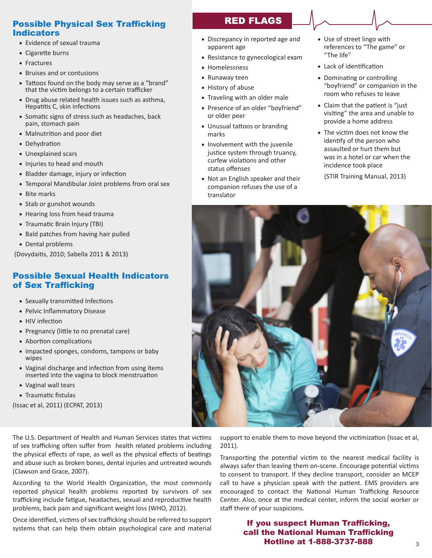#### Possible Physical Sex Trafficking Indicators

- Evidence of sexual trauma
- Cigarette burns
- Fractures
- Bruises and or contusions
- Tattoos found on the body may serve as a "brand" that the victim belongs to a certain trafficker
- Drug abuse related health issues such as asthma, Hepatitis C, skin infections
- Somatic signs of stress such as headaches, back pain, stomach pain
- Malnutrition and poor diet
- Dehydration
- Unexplained scars
- Injuries to head and mouth
- Bladder damage, injury or infection
- Temporal Mandibular Joint problems from oral sex
- Bite marks
- Stab or gunshot wounds
- Hearing loss from head trauma
- Traumatic Brain Injury (TBI)
- Bald patches from having hair pulled
- Dental problems

(Dovydaitis, 2010; Sabella 2011 & 2013)

#### Possible Sexual Health Indicators of Sex Trafficking

- Sexually transmitted Infections
- Pelvic Inflammatory Disease
- HIV infection
- Pregnancy (little to no prenatal care)
- Abortion complications
- Impacted sponges, condoms, tampons or baby wipes
- Vaginal discharge and infection from using items inserted into the vagina to block menstruation
- Vaginal wall tears
- Traumatic fistulas

(Issac et al, 2011) (ECPAT, 2013)

The U.S. Department of Health and Human Services states that victims of sex trafficking often suffer from health related problems including the physical effects of rape, as well as the physical effects of beatings and abuse such as broken bones, dental injuries and untreated wounds (Clawson and Grace, 2007).

According to the World Health Organization, the most commonly reported physical health problems reported by survivors of sex trafficking include fatigue, headaches, sexual and reproductive health problems, back pain and significant weight loss (WHO, 2012).

Once identified, victims of sex trafficking should be referred to support systems that can help them obtain psychological care and material

#### **RED FLAGS**

- Discrepancy in reported age and apparent age
- Resistance to gynecological exam
- Homelessness
- Runaway teen
- History of abuse
- Traveling with an older male
- Presence of an older "boyfriend" or older peer
- Unusual tattoos or branding marks
- Involvement with the juvenile justice system through truancy, curfew violations and other status offenses
- Not an English speaker and their companion refuses the use of a translator
- Use of street lingo with references to "The game" or "The life"
- Lack of identification
- Dominating or controlling "boyfriend" or companion in the room who refuses to leave
- Claim that the patient is "just visiting" the area and unable to provide a home address
- The victim does not know the identify of the person who assaulted or hurt them but was in a hotel or car when the incidence took place

(STIR Training Manual, 2013)



support to enable them to move beyond the victimization (Issac et al, 2011).

Transporting the potential victim to the nearest medical facility is always safer than leaving them on-scene. Encourage potential victims to consent to transport. If they decline transport, consider an MCEP call to have a physician speak with the patient. EMS providers are encouraged to contact the National Human Trafficking Resource Center. Also, once at the medical center, inform the social worker or staff there of your suspicions.

#### If you suspect Human Trafficking, call the National Human Trafficking **Hotline at 1-888-3737-888**  $3^3$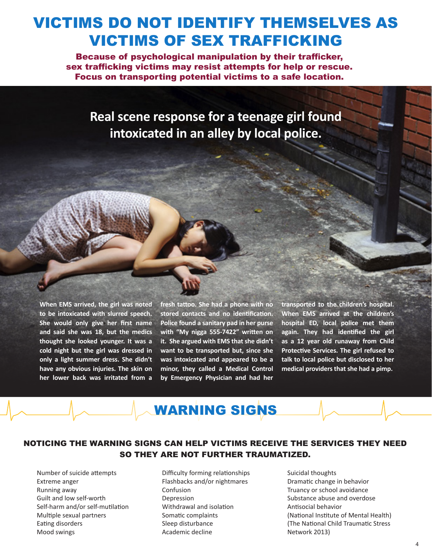## VICTIMS DO NOT IDENTIFY THEMSELVES AS VICTIMS OF SEX TRAFFICKING

Because of psychological manipulation by their trafficker, sex trafficking victims may resist attempts for help or rescue. Focus on transporting potential victims to a safe location.

**Real scene response for a teenage girl found intoxicated in an alley by local police.**

**When EMS arrived, the girl was noted to be intoxicated with slurred speech. She would only give her first name and said she was 18, but the medics thought she looked younger. It was a cold night but the girl was dressed in only a light summer dress. She didn't have any obvious injuries. The skin on her lower back was irritated from a** 

**fresh tattoo. She had a phone with no stored contacts and no identification. Police found a sanitary pad in her purse with "My nigga 555-7422" written on it. She argued with EMS that she didn't want to be transported but, since she was intoxicated and appeared to be a minor, they called a Medical Control by Emergency Physician and had her** 

**transported to the children's hospital. When EMS arrived at the children's hospital ED, local police met them again. They had identified the girl as a 12 year old runaway from Child Protective Services. The girl refused to talk to local police but disclosed to her medical providers that she had a pimp.**

### WARNING SIGNS

#### NOTICING THE WARNING SIGNS CAN HELP VICTIMS RECEIVE THE SERVICES THEY NEED SO THEY ARE NOT FURTHER TRAUMATIZED.

- Number of suicide attempts Extreme anger Running away Guilt and low self-worth Self-harm and/or self-mutilation Multiple sexual partners Eating disorders Mood swings
- Difficulty forming relationships Flashbacks and/or nightmares Confusion Depression Withdrawal and isolation Somatic complaints Sleep disturbance Academic decline
- Suicidal thoughts Dramatic change in behavior Truancy or school avoidance Substance abuse and overdose Antisocial behavior (National Institute of Mental Health) (The National Child Traumatic Stress Network 2013)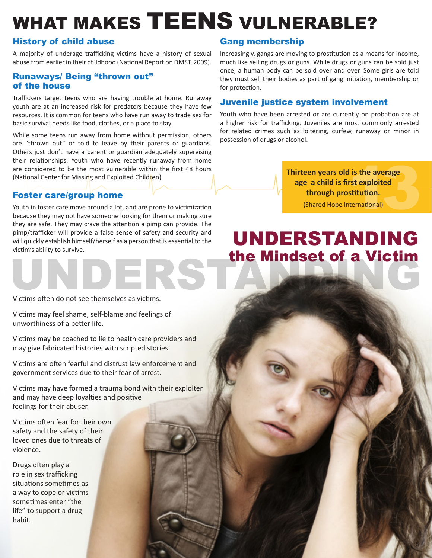## WHAT MAKES TEENS VULNERABLE?

#### History of child abuse

A majority of underage trafficking victims have a history of sexual abuse from earlier in their childhood (National Report on DMST, 2009).

#### Runaways/ Being "thrown out" of the house

Traffickers target teens who are having trouble at home. Runaway youth are at an increased risk for predators because they have few resources. It is common for teens who have run away to trade sex for basic survival needs like food, clothes, or a place to stay.

While some teens run away from home without permission, others are "thrown out" or told to leave by their parents or guardians. Others just don't have a parent or guardian adequately supervising their relationships. Youth who have recently runaway from home are considered to be the most vulnerable within the first 48 hours (National Center for Missing and Exploited Children).

#### Foster care/group home

Youth in foster care move around a lot, and are prone to victimization because they may not have someone looking for them or making sure they are safe. They may crave the attention a pimp can provide. The pimp/trafficker will provide a false sense of safety and security and will quickly establish himself/herself as a person that is essential to the victim's ability to survive.

#### Victims often do not see themselves as victims.

Victims may feel shame, self-blame and feelings of unworthiness of a better life.

Victims may be coached to lie to health care providers and may give fabricated histories with scripted stories.

Victims are often fearful and distrust law enforcement and government services due to their fear of arrest.

Victims may have formed a trauma bond with their exploiter and may have deep loyalties and positive feelings for their abuser.

Victims often fear for their own safety and the safety of their loved ones due to threats of violence.

Drugs often play a role in sex trafficking situations sometimes as a way to cope or victims sometimes enter "the life" to support a drug habit.

#### Gang membership

Increasingly, gangs are moving to prostitution as a means for income, much like selling drugs or guns. While drugs or guns can be sold just once, a human body can be sold over and over. Some girls are told they must sell their bodies as part of gang initiation, membership or for protection.

#### Juvenile justice system involvement

Youth who have been arrested or are currently on probation are at a higher risk for trafficking. Juveniles are most commonly arrested for related crimes such as loitering, curfew, runaway or minor in possession of drugs or alcohol.

> **Thirteen years old is the average age a child is first exploited through prostitution.**

> > (Shared Hope International)

5

## UNDERSTANDING the Mindset of a Victim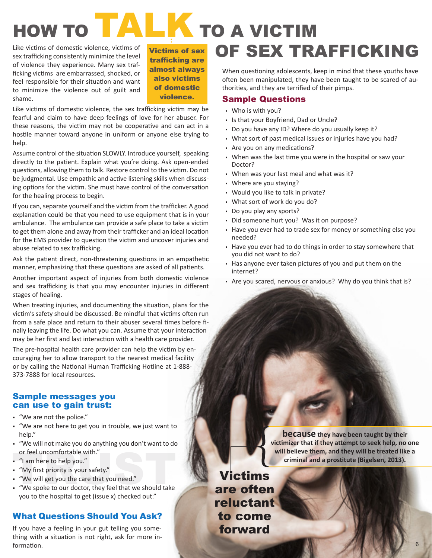# HOW TO **TALK** TO A VICTIM

Like victims of domestic violence, victims of sex trafficking consistently minimize the level of violence they experience. Many sex trafficking victims are embarrassed, shocked, or feel responsible for their situation and want to minimize the violence out of guilt and shame.

Victims of sex trafficking are almost always also victims of domestic violence.

Like victims of domestic violence, the sex trafficking victim may be fearful and claim to have deep feelings of love for her abuser. For these reasons, the victim may not be cooperative and can act in a hostile manner toward anyone in uniform or anyone else trying to help.

Assume control of the situation SLOWLY. Introduce yourself, speaking directly to the patient. Explain what you're doing. Ask open-ended questions, allowing them to talk. Restore control to the victim. Do not be judgmental. Use empathic and active listening skills when discussing options for the victim. She must have control of the conversation for the healing process to begin.

If you can, separate yourself and the victim from the trafficker. A good explanation could be that you need to use equipment that is in your ambulance. The ambulance can provide a safe place to take a victim to get them alone and away from their trafficker and an ideal location for the EMS provider to question the victim and uncover injuries and abuse related to sex trafficking.

Ask the patient direct, non-threatening questions in an empathetic manner, emphasizing that these questions are asked of all patients.

Another important aspect of injuries from both domestic violence and sex trafficking is that you may encounter injuries in different stages of healing.

When treating injuries, and documenting the situation, plans for the victim's safety should be discussed. Be mindful that victims often run from a safe place and return to their abuser several times before finally leaving the life. Do what you can. Assume that your interaction may be her first and last interaction with a health care provider.

The pre-hospital health care provider can help the victim by encouraging her to allow transport to the nearest medical facility or by calling the National Human Trafficking Hotline at 1-888- 373-7888 for local resources.

#### Sample messages you can use to gain trust:

- § "We are not the police."
- § "We are not here to get you in trouble, we just want to help."
- § "We will not make you do anything you don't want to do or feel uncomfortable with."
- § "I am here to help you."
- § "My first priority is your safety."
- § "We will get you the care that you need."
- § "We spoke to our doctor, they feel that we should take you to the hospital to get (issue x) checked out."

#### What Questions Should You Ask?

If you have a feeling in your gut telling you something with a situation is not right, ask for more information.

## OF SEX TRAFFICKING

When questioning adolescents, keep in mind that these youths have often been manipulated, they have been taught to be scared of authorities, and they are terrified of their pimps.

#### Sample Questions

- § Who is with you?
- § Is that your Boyfriend, Dad or Uncle?
- Do you have any ID? Where do you usually keep it?
- § What sort of past medical issues or injuries have you had?
- § Are you on any medications?
- When was the last time you were in the hospital or saw your Doctor?
- § When was your last meal and what was it?
- § Where are you staying?
- § Would you like to talk in private?
- § What sort of work do you do?
- Do you play any sports?
- § Did someone hurt you? Was it on purpose?
- Have you ever had to trade sex for money or something else you needed?
- § Have you ever had to do things in order to stay somewhere that you did not want to do?
- § Has anyone ever taken pictures of you and put them on the internet?
- Are you scared, nervous or anxious? Why do you think that is?

**because they have been taught by their victimizer that if they attempt to seek help, no one will believe them, and they will be treated like a criminal and a prostitute (Bigelsen, 2013).**

Victims are often reluctant to come forward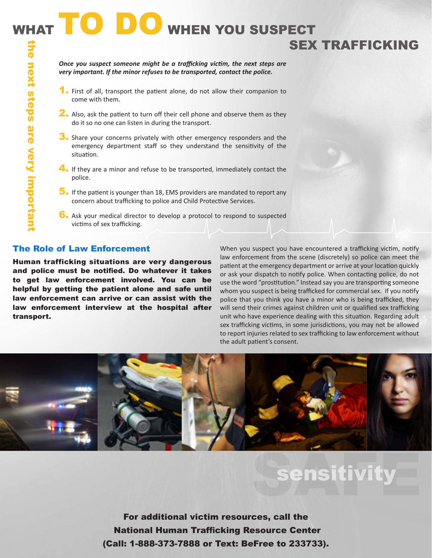*Once you suspect someone might be a trafficking victim, the next steps are very important. If the minor refuses to be transported, contact the police.* 

- 1. First of all, transport the patient alone, do not allow their companion to come with them.
- 2. Also, ask the patient to turn off their cell phone and observe them as they do it so no one can listen in during the transport.
- 3. Share your concerns privately with other emergency responders and the emergency department staff so they understand the sensitivity of the situation.
- 4. If they are a minor and refuse to be transported, immediately contact the police.
- 5. If the patient is younger than 18, EMS providers are mandated to report any concern about trafficking to police and Child Protective Services.
- 6. Ask your medical director to develop a protocol to respond to suspected victims of sex trafficking.

#### The Role of Law Enforcement

Human trafficking situations are very dangerous and police must be notified. Do whatever it takes to get law enforcement involved. You can be helpful by getting the patient alone and safe until law enforcement can arrive or can assist with the law enforcement interview at the hospital after transport.

When you suspect you have encountered a trafficking victim, notify law enforcement from the scene (discretely) so police can meet the patient at the emergency department or arrive at your location quickly or ask your dispatch to notify police. When contacting police, do not use the word "prostitution." Instead say you are transporting someone whom you suspect is being trafficked for commercial sex. If you notify police that you think you have a minor who is being trafficked, they will send their crimes against children unit or qualified sex trafficking unit who have experience dealing with this situation. Regarding adult sex trafficking victims, in some jurisdictions, you may not be allowed to report injuries related to sex trafficking to law enforcement without the adult patient's consent.

SEX TRAFFICKING



## **sensitivity**

For additional victim resources, call the National Human Trafficking Resource Center (Call: 1-888-373-7888 or Text: BeFree to 233733).